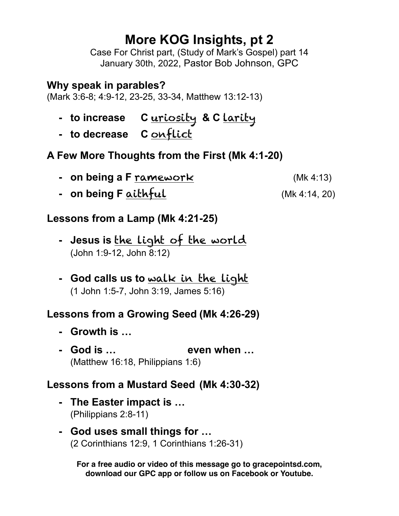# **More KOG Insights, pt 2**

Case For Christ part, (Study of Mark's Gospel) part 14 January 30th, 2022, Pastor Bob Johnson, GPC

#### **Why speak in parables?**

(Mark 3:6-8; 4:9-12, 23-25, 33-34, Matthew 13:12-13)

- **- to increase C** uriosity **& C** larity
- **- to decrease C** onflict

# **A Few More Thoughts from the First (Mk 4:1-20)**

- **- on being a F** ramework(Mk 4:13)
- **- on being F** aithful (Mk 4:14, 20)

### **Lessons from a Lamp (Mk 4:21-25)**

- **- Jesus is** the light of the world (John 1:9-12, John 8:12)
- **- God calls us to** walk in the light (1 John 1:5-7, John 3:19, James 5:16)

# **Lessons from a Growing Seed (Mk 4:26-29)**

- **- Growth is …**
- **- God is … even when …** (Matthew 16:18, Philippians 1:6)

### **Lessons from a Mustard Seed (Mk 4:30-32)**

- **- The Easter impact is …**  (Philippians 2:8-11)
- **- God uses small things for …** (2 Corinthians 12:9, 1 Corinthians 1:26-31)

**For a free audio or video of this message go to gracepointsd.com, download our GPC app or follow us on Facebook or Youtube.**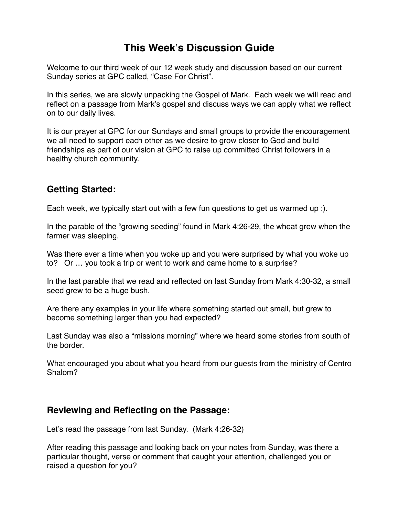## **This Week's Discussion Guide**

Welcome to our third week of our 12 week study and discussion based on our current Sunday series at GPC called, "Case For Christ".

In this series, we are slowly unpacking the Gospel of Mark. Each week we will read and reflect on a passage from Mark's gospel and discuss ways we can apply what we reflect on to our daily lives.

It is our prayer at GPC for our Sundays and small groups to provide the encouragement we all need to support each other as we desire to grow closer to God and build friendships as part of our vision at GPC to raise up committed Christ followers in a healthy church community.

#### **Getting Started:**

Each week, we typically start out with a few fun questions to get us warmed up :).

In the parable of the "growing seeding" found in Mark 4:26-29, the wheat grew when the farmer was sleeping.

Was there ever a time when you woke up and you were surprised by what you woke up to? Or … you took a trip or went to work and came home to a surprise?

In the last parable that we read and reflected on last Sunday from Mark 4:30-32, a small seed grew to be a huge bush.

Are there any examples in your life where something started out small, but grew to become something larger than you had expected?

Last Sunday was also a "missions morning" where we heard some stories from south of the border.

What encouraged you about what you heard from our guests from the ministry of Centro Shalom?

#### **Reviewing and Reflecting on the Passage:**

Let's read the passage from last Sunday. (Mark 4:26-32)

After reading this passage and looking back on your notes from Sunday, was there a particular thought, verse or comment that caught your attention, challenged you or raised a question for you?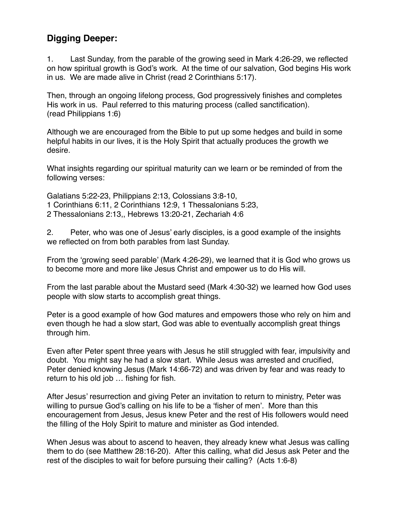#### **Digging Deeper:**

1. Last Sunday, from the parable of the growing seed in Mark 4:26-29, we reflected on how spiritual growth is God's work. At the time of our salvation, God begins His work in us. We are made alive in Christ (read 2 Corinthians 5:17).

Then, through an ongoing lifelong process, God progressively finishes and completes His work in us. Paul referred to this maturing process (called sanctification). (read Philippians 1:6)

Although we are encouraged from the Bible to put up some hedges and build in some helpful habits in our lives, it is the Holy Spirit that actually produces the growth we desire.

What insights regarding our spiritual maturity can we learn or be reminded of from the following verses:

Galatians 5:22-23, Philippians 2:13, Colossians 3:8-10, 1 Corinthians 6:11, 2 Corinthians 12:9, 1 Thessalonians 5:23, 2 Thessalonians 2:13,, Hebrews 13:20-21, Zechariah 4:6

2. Peter, who was one of Jesus' early disciples, is a good example of the insights we reflected on from both parables from last Sunday.

From the 'growing seed parable' (Mark 4:26-29), we learned that it is God who grows us to become more and more like Jesus Christ and empower us to do His will.

From the last parable about the Mustard seed (Mark 4:30-32) we learned how God uses people with slow starts to accomplish great things.

Peter is a good example of how God matures and empowers those who rely on him and even though he had a slow start, God was able to eventually accomplish great things through him.

Even after Peter spent three years with Jesus he still struggled with fear, impulsivity and doubt. You might say he had a slow start. While Jesus was arrested and crucified, Peter denied knowing Jesus (Mark 14:66-72) and was driven by fear and was ready to return to his old job … fishing for fish.

After Jesus' resurrection and giving Peter an invitation to return to ministry, Peter was willing to pursue God's calling on his life to be a 'fisher of men'. More than this encouragement from Jesus, Jesus knew Peter and the rest of His followers would need the filling of the Holy Spirit to mature and minister as God intended.

When Jesus was about to ascend to heaven, they already knew what Jesus was calling them to do (see Matthew 28:16-20). After this calling, what did Jesus ask Peter and the rest of the disciples to wait for before pursuing their calling? (Acts 1:6-8)